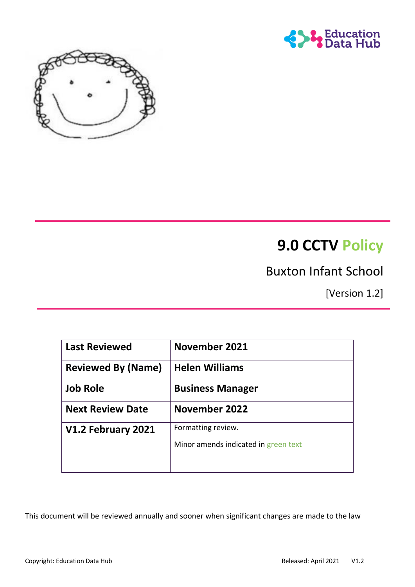



# **9.0 CCTV Policy**

# Buxton Infant School

[Version 1.2]

| <b>Last Reviewed</b>      | <b>November 2021</b>                 |
|---------------------------|--------------------------------------|
| <b>Reviewed By (Name)</b> | <b>Helen Williams</b>                |
| <b>Job Role</b>           | <b>Business Manager</b>              |
| <b>Next Review Date</b>   | November 2022                        |
| V1.2 February 2021        | Formatting review.                   |
|                           | Minor amends indicated in green text |
|                           |                                      |

This document will be reviewed annually and sooner when significant changes are made to the law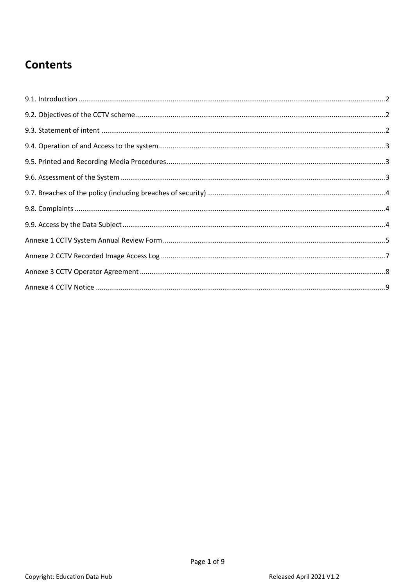# **Contents**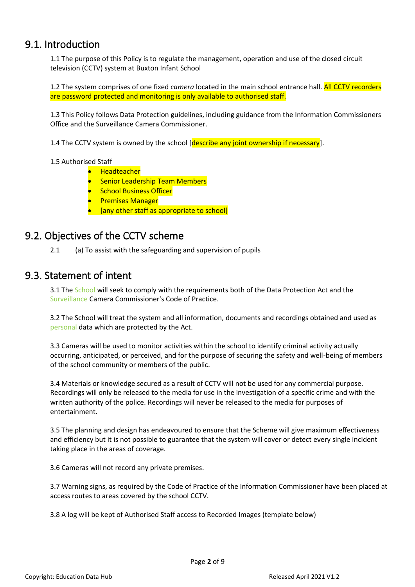#### <span id="page-2-0"></span>9.1. Introduction

1.1 The purpose of this Policy is to regulate the management, operation and use of the closed circuit television (CCTV) system at Buxton Infant School

1.2 The system comprises of one fixed *camera* located in the main school entrance hall. All CCTV recorders are password protected and monitoring is only available to authorised staff.

1.3 This Policy follows Data Protection guidelines, including guidance from the Information Commissioners Office and the Surveillance Camera Commissioner.

1.4 The CCTV system is owned by the school [describe any joint ownership if necessary].

#### 1.5 Authorised Staff

- Headteacher
- Senior Leadership Team Members
- **•** School Business Officer
- Premises Manager
- [any other staff as appropriate to school]

#### <span id="page-2-1"></span>9.2. Objectives of the CCTV scheme

2.1 (a) To assist with the safeguarding and supervision of pupils

#### <span id="page-2-2"></span>9.3. Statement of intent

3.1 The School will seek to comply with the requirements both of the Data Protection Act and the Surveillance Camera Commissioner's Code of Practice.

3.2 The School will treat the system and all information, documents and recordings obtained and used as personal data which are protected by the Act.

3.3 Cameras will be used to monitor activities within the school to identify criminal activity actually occurring, anticipated, or perceived, and for the purpose of securing the safety and well-being of members of the school community or members of the public.

3.4 Materials or knowledge secured as a result of CCTV will not be used for any commercial purpose. Recordings will only be released to the media for use in the investigation of a specific crime and with the written authority of the police. Recordings will never be released to the media for purposes of entertainment.

3.5 The planning and design has endeavoured to ensure that the Scheme will give maximum effectiveness and efficiency but it is not possible to guarantee that the system will cover or detect every single incident taking place in the areas of coverage.

3.6 Cameras will not record any private premises.

3.7 Warning signs, as required by the Code of Practice of the Information Commissioner have been placed at access routes to areas covered by the school CCTV.

3.8 A log will be kept of Authorised Staff access to Recorded Images (template below)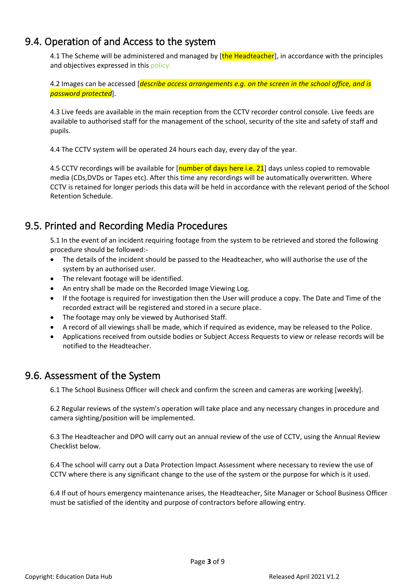### <span id="page-3-0"></span>9.4. Operation of and Access to the system

4.1 The Scheme will be administered and managed by [the Headteacher], in accordance with the principles and objectives expressed in this policy.

4.2 Images can be accessed [*describe access arrangements e.g. on the screen in the school office, and is password protected*].

4.3 Live feeds are available in the main reception from the CCTV recorder control console. Live feeds are available to authorised staff for the management of the school, security of the site and safety of staff and pupils.

4.4 The CCTV system will be operated 24 hours each day, every day of the year.

4.5 CCTV recordings will be available for [number of days here i.e. 21] days unless copied to removable media (CDs,DVDs or Tapes etc). After this time any recordings will be automatically overwritten. Where CCTV is retained for longer periods this data will be held in accordance with the relevant period of the School Retention Schedule.

## <span id="page-3-1"></span>9.5. Printed and Recording Media Procedures

5.1 In the event of an incident requiring footage from the system to be retrieved and stored the following procedure should be followed:-

- The details of the incident should be passed to the Headteacher, who will authorise the use of the system by an authorised user.
- The relevant footage will be identified.
- An entry shall be made on the Recorded Image Viewing Log.
- If the footage is required for investigation then the User will produce a copy. The Date and Time of the recorded extract will be registered and stored in a secure place.
- The footage may only be viewed by Authorised Staff.
- A record of all viewings shall be made, which if required as evidence, may be released to the Police.
- Applications received from outside bodies or Subject Access Requests to view or release records will be notified to the Headteacher.

#### <span id="page-3-2"></span>9.6. Assessment of the System

6.1 The School Business Officer will check and confirm the screen and cameras are working [weekly].

6.2 Regular reviews of the system's operation will take place and any necessary changes in procedure and camera sighting/position will be implemented.

6.3 The Headteacher and DPO will carry out an annual review of the use of CCTV, using the Annual Review Checklist below.

6.4 The school will carry out a Data Protection Impact Assessment where necessary to review the use of CCTV where there is any significant change to the use of the system or the purpose for which is it used.

6.4 If out of hours emergency maintenance arises, the Headteacher, Site Manager or School Business Officer must be satisfied of the identity and purpose of contractors before allowing entry.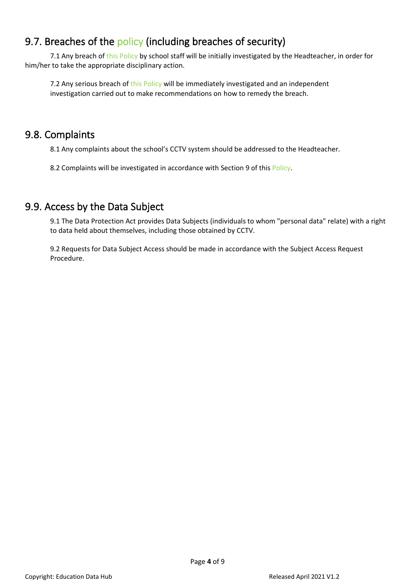# <span id="page-4-0"></span>9.7. Breaches of the policy (including breaches of security)

7.1 Any breach of this Policy by school staff will be initially investigated by the Headteacher, in order for him/her to take the appropriate disciplinary action.

7.2 Any serious breach of this Policy will be immediately investigated and an independent investigation carried out to make recommendations on how to remedy the breach.

#### <span id="page-4-1"></span>9.8. Complaints

8.1 Any complaints about the school's CCTV system should be addressed to the Headteacher.

8.2 Complaints will be investigated in accordance with Section 9 of this Policy.

## <span id="page-4-2"></span>9.9. Access by the Data Subject

9.1 The Data Protection Act provides Data Subjects (individuals to whom "personal data" relate) with a right to data held about themselves, including those obtained by CCTV.

9.2 Requests for Data Subject Access should be made in accordance with the Subject Access Request Procedure.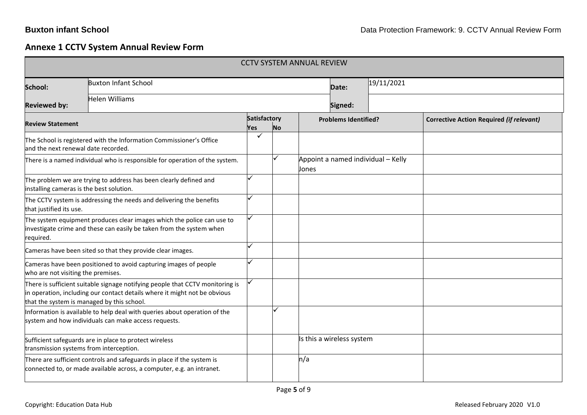# **Annexe 1 CCTV System Annual Review Form**

<span id="page-5-0"></span>

| <b>CCTV SYSTEM ANNUAL REVIEW</b>         |                                                                                                                                                                                                          |                     |           |         |                             |                                    |                                                 |  |
|------------------------------------------|----------------------------------------------------------------------------------------------------------------------------------------------------------------------------------------------------------|---------------------|-----------|---------|-----------------------------|------------------------------------|-------------------------------------------------|--|
| School:                                  | <b>Buxton Infant School</b>                                                                                                                                                                              |                     |           |         |                             | 19/11/2021<br>Date:                |                                                 |  |
| <b>Reviewed by:</b>                      | Helen Williams                                                                                                                                                                                           |                     |           | Signed: |                             |                                    |                                                 |  |
| <b>Review Statement</b>                  |                                                                                                                                                                                                          | Satisfactory<br>Yes | <b>No</b> |         | <b>Problems Identified?</b> |                                    | <b>Corrective Action Required (if relevant)</b> |  |
| and the next renewal date recorded.      | The School is registered with the Information Commissioner's Office                                                                                                                                      |                     |           |         |                             |                                    |                                                 |  |
|                                          | There is a named individual who is responsible for operation of the system.                                                                                                                              |                     |           | Jones   |                             | Appoint a named individual - Kelly |                                                 |  |
| installing cameras is the best solution. | The problem we are trying to address has been clearly defined and                                                                                                                                        |                     |           |         |                             |                                    |                                                 |  |
| that justified its use.                  | The CCTV system is addressing the needs and delivering the benefits                                                                                                                                      |                     |           |         |                             |                                    |                                                 |  |
| required.                                | The system equipment produces clear images which the police can use to<br>investigate crime and these can easily be taken from the system when                                                           | ✓                   |           |         |                             |                                    |                                                 |  |
|                                          | Cameras have been sited so that they provide clear images.                                                                                                                                               |                     |           |         |                             |                                    |                                                 |  |
| who are not visiting the premises.       | Cameras have been positioned to avoid capturing images of people                                                                                                                                         |                     |           |         |                             |                                    |                                                 |  |
|                                          | There is sufficient suitable signage notifying people that CCTV monitoring is<br>in operation, including our contact details where it might not be obvious<br>that the system is managed by this school. |                     |           |         |                             |                                    |                                                 |  |
|                                          | Information is available to help deal with queries about operation of the<br>system and how individuals can make access requests.                                                                        |                     |           |         |                             |                                    |                                                 |  |
| transmission systems from interception.  | Sufficient safeguards are in place to protect wireless                                                                                                                                                   |                     |           |         | Is this a wireless system   |                                    |                                                 |  |
|                                          | There are sufficient controls and safeguards in place if the system is<br>connected to, or made available across, a computer, e.g. an intranet.                                                          |                     |           | n/a     |                             |                                    |                                                 |  |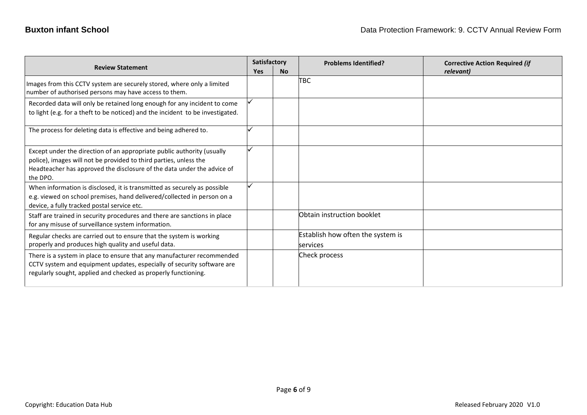|                                                                                                                                                                                                                                    | Satisfactory |           | <b>Problems Identified?</b>                   | <b>Corrective Action Required (if</b> |
|------------------------------------------------------------------------------------------------------------------------------------------------------------------------------------------------------------------------------------|--------------|-----------|-----------------------------------------------|---------------------------------------|
| <b>Review Statement</b>                                                                                                                                                                                                            |              | <b>No</b> |                                               | relevant)                             |
| Images from this CCTV system are securely stored, where only a limited<br>number of authorised persons may have access to them.                                                                                                    |              |           | TBC                                           |                                       |
| Recorded data will only be retained long enough for any incident to come<br>to light (e.g. for a theft to be noticed) and the incident to be investigated.                                                                         |              |           |                                               |                                       |
| The process for deleting data is effective and being adhered to.                                                                                                                                                                   |              |           |                                               |                                       |
| Except under the direction of an appropriate public authority (usually<br>police), images will not be provided to third parties, unless the<br>Headteacher has approved the disclosure of the data under the advice of<br>the DPO. |              |           |                                               |                                       |
| When information is disclosed, it is transmitted as securely as possible<br>e.g. viewed on school premises, hand delivered/collected in person on a<br>device, a fully tracked postal service etc.                                 |              |           |                                               |                                       |
| Staff are trained in security procedures and there are sanctions in place<br>for any misuse of surveillance system information.                                                                                                    |              |           | Obtain instruction booklet                    |                                       |
| Regular checks are carried out to ensure that the system is working<br>properly and produces high quality and useful data.                                                                                                         |              |           | Establish how often the system is<br>services |                                       |
| There is a system in place to ensure that any manufacturer recommended<br>CCTV system and equipment updates, especially of security software are<br>regularly sought, applied and checked as properly functioning.                 |              |           | Check process                                 |                                       |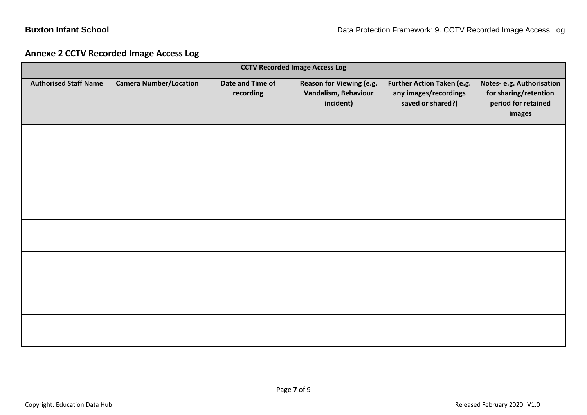#### **Annexe 2 CCTV Recorded Image Access Log**

<span id="page-7-0"></span>

| <b>CCTV Recorded Image Access Log</b> |                               |                               |                                                               |                                                                          |                                                                                    |  |  |
|---------------------------------------|-------------------------------|-------------------------------|---------------------------------------------------------------|--------------------------------------------------------------------------|------------------------------------------------------------------------------------|--|--|
| <b>Authorised Staff Name</b>          | <b>Camera Number/Location</b> | Date and Time of<br>recording | Reason for Viewing (e.g.<br>Vandalism, Behaviour<br>incident) | Further Action Taken (e.g.<br>any images/recordings<br>saved or shared?) | Notes-e.g. Authorisation<br>for sharing/retention<br>period for retained<br>images |  |  |
|                                       |                               |                               |                                                               |                                                                          |                                                                                    |  |  |
|                                       |                               |                               |                                                               |                                                                          |                                                                                    |  |  |
|                                       |                               |                               |                                                               |                                                                          |                                                                                    |  |  |
|                                       |                               |                               |                                                               |                                                                          |                                                                                    |  |  |
|                                       |                               |                               |                                                               |                                                                          |                                                                                    |  |  |
|                                       |                               |                               |                                                               |                                                                          |                                                                                    |  |  |
|                                       |                               |                               |                                                               |                                                                          |                                                                                    |  |  |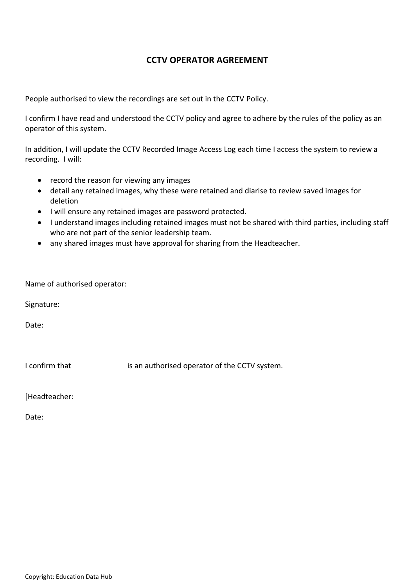#### **CCTV OPERATOR AGREEMENT**

<span id="page-8-0"></span>People authorised to view the recordings are set out in the CCTV Policy.

I confirm I have read and understood the CCTV policy and agree to adhere by the rules of the policy as an operator of this system.

In addition, I will update the CCTV Recorded Image Access Log each time I access the system to review a recording. I will:

- record the reason for viewing any images
- detail any retained images, why these were retained and diarise to review saved images for deletion
- I will ensure any retained images are password protected.
- I understand images including retained images must not be shared with third parties, including staff who are not part of the senior leadership team.
- any shared images must have approval for sharing from the Headteacher.

|  |  |  | Name of authorised operator: |
|--|--|--|------------------------------|
|--|--|--|------------------------------|

Signature:

Date:

I confirm that is an authorised operator of the CCTV system.

[Headteacher:

Date: